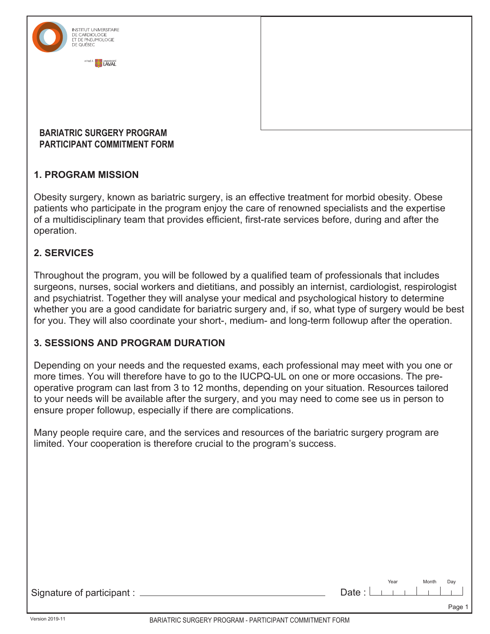

## **1. PROGRAM MISSION**

Obesity surgery, known as bariatric surgery, is an effective treatment for morbid obesity. Obese patients who participate in the program enjoy the care of renowned specialists and the expertise of a multidisciplinary team that provides efficient, first-rate services before, during and after the operation.

## **2. SERVICES**

Throughout the program, you will be followed by a qualified team of professionals that includes surgeons, nurses, social workers and dietitians, and possibly an internist, cardiologist, respirologist and psychiatrist. Together they will analyse your medical and psychological history to determine whether you are a good candidate for bariatric surgery and, if so, what type of surgery would be best for you. They will also coordinate your short-, medium- and long-term followup after the operation.

## **3. SESSIONS AND PROGRAM DURATION**

Depending on your needs and the requested exams, each professional may meet with you one or more times. You will therefore have to go to the IUCPQ-UL on one or more occasions. The preoperative program can last from 3 to 12 months, depending on your situation. Resources tailored to your needs will be available after the surgery, and you may need to come see us in person to ensure proper followup, especially if there are complications.

Many people require care, and the services and resources of the bariatric surgery program are limited. Your cooperation is therefore crucial to the program's success.

| Signature of participant : _ | Month<br>Year<br>Day<br>Date : $\Box$      <br>$\mathbf{r} = \begin{bmatrix} 1 & 1 \\ 1 & 1 \end{bmatrix}$ |
|------------------------------|------------------------------------------------------------------------------------------------------------|
|                              | Page 1                                                                                                     |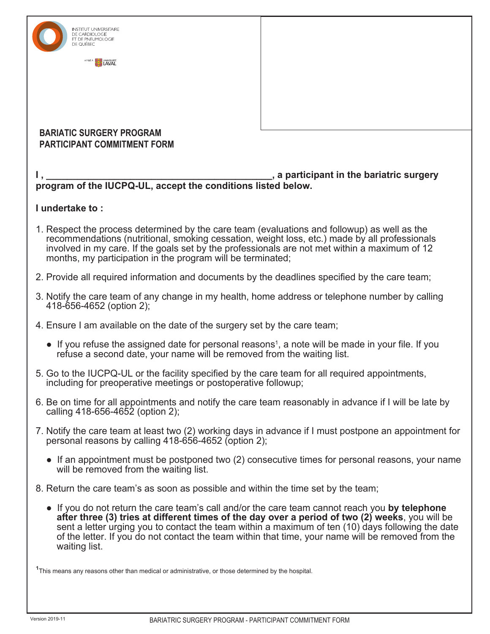| INSTITUT UNIVERSITAIRE<br>DE CARDIOLOGIE                                                                                                                                                                                                                                                                                                                                                                                      |                                          |  |  |  |  |
|-------------------------------------------------------------------------------------------------------------------------------------------------------------------------------------------------------------------------------------------------------------------------------------------------------------------------------------------------------------------------------------------------------------------------------|------------------------------------------|--|--|--|--|
| AFFILIE À<br>UNIVERSITÉ                                                                                                                                                                                                                                                                                                                                                                                                       |                                          |  |  |  |  |
|                                                                                                                                                                                                                                                                                                                                                                                                                               |                                          |  |  |  |  |
|                                                                                                                                                                                                                                                                                                                                                                                                                               |                                          |  |  |  |  |
|                                                                                                                                                                                                                                                                                                                                                                                                                               |                                          |  |  |  |  |
| <b>BARIATIC SURGERY PROGRAM</b><br><b>PARTICIPANT COMMITMENT FORM</b>                                                                                                                                                                                                                                                                                                                                                         |                                          |  |  |  |  |
|                                                                                                                                                                                                                                                                                                                                                                                                                               | , a participant in the bariatric surgery |  |  |  |  |
| program of the IUCPQ-UL, accept the conditions listed below.                                                                                                                                                                                                                                                                                                                                                                  |                                          |  |  |  |  |
| I undertake to:                                                                                                                                                                                                                                                                                                                                                                                                               |                                          |  |  |  |  |
| 1. Respect the process determined by the care team (evaluations and followup) as well as the<br>recommendations (nutritional, smoking cessation, weight loss, etc.) made by all professionals<br>involved in my care. If the goals set by the professionals are not met within a maximum of 12<br>months, my participation in the program will be terminated;                                                                 |                                          |  |  |  |  |
| 2. Provide all required information and documents by the deadlines specified by the care team;                                                                                                                                                                                                                                                                                                                                |                                          |  |  |  |  |
| 3. Notify the care team of any change in my health, home address or telephone number by calling<br>418-656-4652 (option 2);                                                                                                                                                                                                                                                                                                   |                                          |  |  |  |  |
| 4. Ensure I am available on the date of the surgery set by the care team;                                                                                                                                                                                                                                                                                                                                                     |                                          |  |  |  |  |
| • If you refuse the assigned date for personal reasons <sup>1</sup> , a note will be made in your file. If you<br>refuse a second date, your name will be removed from the waiting list.                                                                                                                                                                                                                                      |                                          |  |  |  |  |
| 5. Go to the IUCPQ-UL or the facility specified by the care team for all required appointments,<br>including for preoperative meetings or postoperative followup;                                                                                                                                                                                                                                                             |                                          |  |  |  |  |
| 6. Be on time for all appointments and notify the care team reasonably in advance if I will be late by<br>calling 418-656-4652 (option 2);                                                                                                                                                                                                                                                                                    |                                          |  |  |  |  |
| 7. Notify the care team at least two (2) working days in advance if I must postpone an appointment for<br>personal reasons by calling 418-656-4652 (option 2);                                                                                                                                                                                                                                                                |                                          |  |  |  |  |
| • If an appointment must be postponed two (2) consecutive times for personal reasons, your name<br>will be removed from the waiting list.                                                                                                                                                                                                                                                                                     |                                          |  |  |  |  |
| 8. Return the care team's as soon as possible and within the time set by the team;                                                                                                                                                                                                                                                                                                                                            |                                          |  |  |  |  |
| • If you do not return the care team's call and/or the care team cannot reach you by telephone<br>after three (3) tries at different times of the day over a period of two (2) weeks, you will be<br>sent a letter urging you to contact the team within a maximum of ten (10) days following the date<br>of the letter. If you do not contact the team within that time, your name will be removed from the<br>waiting list. |                                          |  |  |  |  |
| <sup>1</sup> This means any reasons other than medical or administrative, or those determined by the hospital.                                                                                                                                                                                                                                                                                                                |                                          |  |  |  |  |